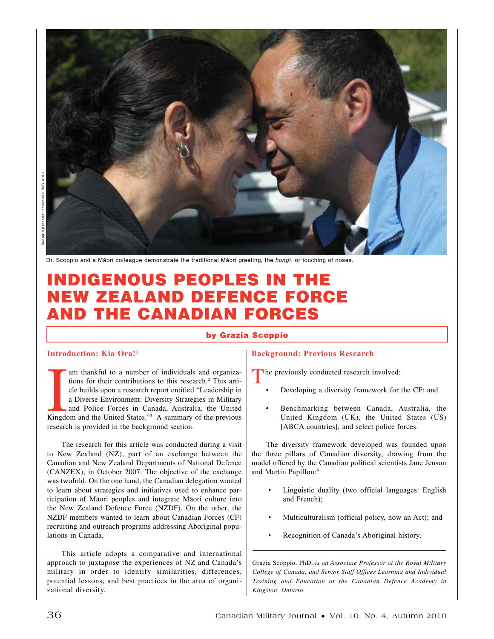



Dr. Scoppio and a Māori colleague demonstrate the traditional Māori greeting, the *hongi*, or touching of noses.

# Indigenous Peoples in the New Zealand Defence Force and the Canadian Forces

#### by Grazia Scoppio

#### **Introduction: Kia Ora!1**

I am thankful to a number of individuals and organiza-<br>
tions for their contributions to this research.<sup>2</sup> This arti-<br>
cle builds upon a research report entitled "Leadership in<br>
a Diverse Environment: Diversity Strategies tions for their contributions to this research.<sup>2</sup> This article builds upon a research report entitled "Leadership in a Diverse Environment: Diversity Strategies in Military and Police Forces in Canada, Australia, the United research is provided in the background section.

The research for this article was conducted during a visit to New Zealand (NZ), part of an exchange between the Canadian and New Zealand Departments of National Defence (CANZEX), in October 2007. The objective of the exchange was twofold. On the one hand, the Canadian delegation wanted to learn about strategies and initiatives used to enhance participation of Māori peoples and integrate Māori culture into the New Zealand Defence Force (NZDF). On the other, the NZDF members wanted to learn about Canadian Forces (CF) recruiting and outreach programs addressing Aboriginal populations in Canada.

This article adopts a comparative and international approach to juxtapose the experiences of NZ and Canada's military in order to identify similarities, differences, potential lessons, and best practices in the area of organizational diversity.

# **Background: Previous Research**

The previously conducted research involved:

- Developing a diversity framework for the CF; and
- Benchmarking between Canada, Australia, the United Kingdom (UK), the United States (US) [ABCA countries], and select police forces.

The diversity framework developed was founded upon the three pillars of Canadian diversity, drawing from the model offered by the Canadian political scientists Jane Jenson and Martin Papillon:4

- Linguistic duality (two official languages: English and French);
- Multiculturalism (official policy, now an Act); and
- Recognition of Canada's Aboriginal history.

Grazia Scoppio, PhD, *is an Associate Professor at the Royal Military College of Canada, and Senior Staff Officer Learning and Individual Training and Education at the Canadian Defence Academy in Kingston, Ontario.*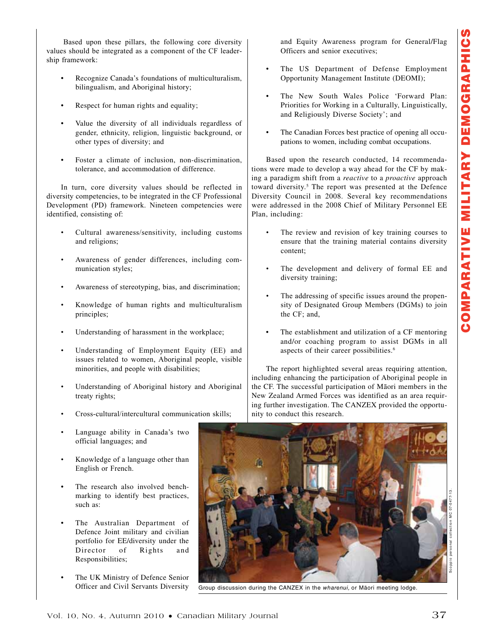Based upon these pillars, the following core diversity values should be integrated as a component of the CF leadership framework:

- Recognize Canada's foundations of multiculturalism, bilingualism, and Aboriginal history;
- Respect for human rights and equality;
- Value the diversity of all individuals regardless of gender, ethnicity, religion, linguistic background, or other types of diversity; and
- Foster a climate of inclusion, non-discrimination, tolerance, and accommodation of difference.

In turn, core diversity values should be reflected in diversity competencies, to be integrated in the CF Professional Development (PD) framework. Nineteen competencies were identified, consisting of:

- Cultural awareness/sensitivity, including customs and religions;
- Awareness of gender differences, including communication styles;
- Awareness of stereotyping, bias, and discrimination;
- Knowledge of human rights and multiculturalism principles;
- Understanding of harassment in the workplace;
- Understanding of Employment Equity (EE) and issues related to women, Aboriginal people, visible minorities, and people with disabilities;
- Understanding of Aboriginal history and Aboriginal treaty rights;
- Cross-cultural/intercultural communication skills;
- Language ability in Canada's two official languages; and
- Knowledge of a language other than English or French.
- The research also involved benchmarking to identify best practices, such as:
- The Australian Department of Defence Joint military and civilian portfolio for EE/diversity under the Director of Rights and Responsibilities;
- The UK Ministry of Defence Senior Officer and Civil Servants Diversity

and Equity Awareness program for General/Flag Officers and senior executives;

- The US Department of Defense Employment Opportunity Management Institute (DEOMI);
- The New South Wales Police 'Forward Plan: Priorities for Working in a Culturally, Linguistically, and Religiously Diverse Society'; and
- The Canadian Forces best practice of opening all occupations to women, including combat occupations.

Based upon the research conducted, 14 recommendations were made to develop a way ahead for the CF by making a paradigm shift from a *reactive* to a *proactive* approach toward diversity.<sup>5</sup> The report was presented at the Defence Diversity Council in 2008. Several key recommendations were addressed in the 2008 Chief of Military Personnel EE Plan, including:

- The review and revision of key training courses to ensure that the training material contains diversity content;
- The development and delivery of formal EE and diversity training;
- The addressing of specific issues around the propensity of Designated Group Members (DGMs) to join the CF; and,
- The establishment and utilization of a CF mentoring and/or coaching program to assist DGMs in all aspects of their career possibilities.<sup>6</sup>

The report highlighted several areas requiring attention, including enhancing the participation of Aboriginal people in the CF. The successful participation of Māori members in the New Zealand Armed Forces was identified as an area requiring further investigation. The CANZEX provided the opportunity to conduct this research.



Group discussion during the CANZEX in the *wharenui,* or Māori meeting lodge.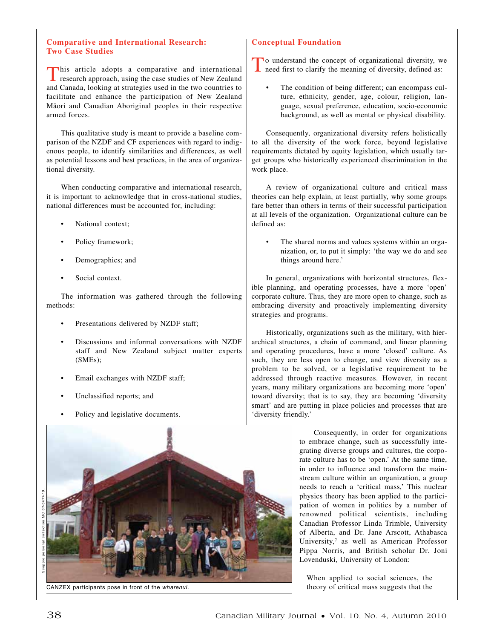## **Comparative and International Research: Two Case Studies**

This article adopts a comparative and international research approach, using the case studies of New Zealand and Canada, looking at strategies used in the two countries to facilitate and enhance the participation of New Zealand Māori and Canadian Aboriginal peoples in their respective armed forces.

This qualitative study is meant to provide a baseline comparison of the NZDF and CF experiences with regard to indigenous people, to identify similarities and differences, as well as potential lessons and best practices, in the area of organizational diversity.

When conducting comparative and international research, it is important to acknowledge that in cross-national studies, national differences must be accounted for, including:

- National context:
- Policy framework;
- Demographics; and
- Social context.

The information was gathered through the following methods:

- Presentations delivered by NZDF staff;
- Discussions and informal conversations with NZDF staff and New Zealand subject matter experts (SMEs);
- Email exchanges with NZDF staff;
- Unclassified reports; and
- Policy and legislative documents.



CANZEX participants pose in front of the *wharenui.*

# **Conceptual Foundation**

To understand the concept of organizational diversity, we need first to clarify the meaning of diversity, defined as:

The condition of being different; can encompass culture, ethnicity, gender, age, colour, religion, language, sexual preference, education, socio-economic background, as well as mental or physical disability.

Consequently, organizational diversity refers holistically to all the diversity of the work force, beyond legislative requirements dictated by equity legislation, which usually target groups who historically experienced discrimination in the work place.

A review of organizational culture and critical mass theories can help explain, at least partially, why some groups fare better than others in terms of their successful participation at all levels of the organization. Organizational culture can be defined as:

The shared norms and values systems within an organization, or, to put it simply: 'the way we do and see things around here.'

In general, organizations with horizontal structures, flexible planning, and operating processes, have a more 'open' corporate culture. Thus, they are more open to change, such as embracing diversity and proactively implementing diversity strategies and programs.

Historically, organizations such as the military, with hierarchical structures, a chain of command, and linear planning and operating procedures, have a more 'closed' culture. As such, they are less open to change, and view diversity as a problem to be solved, or a legislative requirement to be addressed through reactive measures. However, in recent years, many military organizations are becoming more 'open' toward diversity; that is to say, they are becoming 'diversity smart' and are putting in place policies and processes that are 'diversity friendly.'

> Consequently, in order for organizations to embrace change, such as successfully integrating diverse groups and cultures, the corporate culture has to be 'open.' At the same time, in order to influence and transform the mainstream culture within an organization, a group needs to reach a 'critical mass,' This nuclear physics theory has been applied to the participation of women in politics by a number of renowned political scientists, including Canadian Professor Linda Trimble, University of Alberta, and Dr. Jane Arscott, Athabasca University,<sup>7</sup> as well as American Professor Pippa Norris, and British scholar Dr. Joni Lovenduski, University of London:

When applied to social sciences, the theory of critical mass suggests that the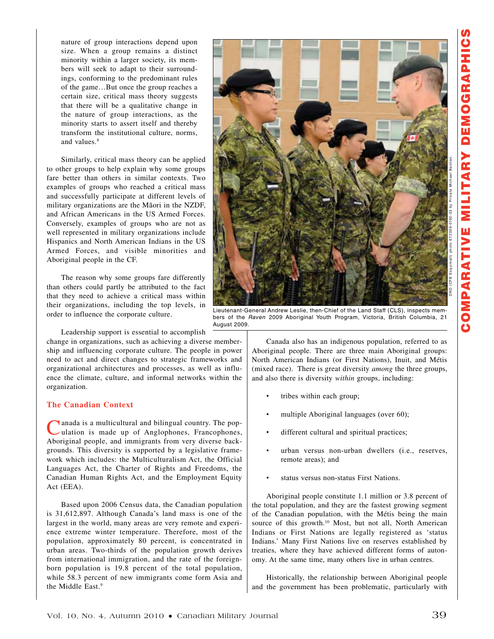nature of group interactions depend upon size. When a group remains a distinct minority within a larger society, its members will seek to adapt to their surroundings, conforming to the predominant rules of the game…But once the group reaches a certain size, critical mass theory suggests that there will be a qualitative change in the nature of group interactions, as the minority starts to assert itself and thereby transform the institutional culture, norms, and values.8

Similarly, critical mass theory can be applied to other groups to help explain why some groups fare better than others in similar contexts. Two examples of groups who reached a critical mass and successfully participate at different levels of military organizations are the Māori in the NZDF, and African Americans in the US Armed Forces. Conversely, examples of groups who are not as well represented in military organizations include Hispanics and North American Indians in the US Armed Forces, and visible minorities and Aboriginal people in the CF.

The reason why some groups fare differently than others could partly be attributed to the fact that they need to achieve a critical mass within their organizations, including the top levels, in order to influence the corporate culture.



Lieutenant-General Andrew Leslie, then-Chief of the Land Staff (CLS), inspects members of the *Raven* 2009 Aboriginal Youth Program, Victoria, British Columbia, 21 August 2009.

Leadership support is essential to accomplish

change in organizations, such as achieving a diverse membership and influencing corporate culture. The people in power need to act and direct changes to strategic frameworks and organizational architectures and processes, as well as influence the climate, culture, and informal networks within the organization.

## **The Canadian Context**

I anada is a multicultural and bilingual country. The population is made up of Anglophones, Francophones, Aboriginal people, and immigrants from very diverse backgrounds. This diversity is supported by a legislative framework which includes: the Multiculturalism Act, the Official Languages Act, the Charter of Rights and Freedoms, the Canadian Human Rights Act, and the Employment Equity Act (EEA).

Based upon 2006 Census data, the Canadian population is 31,612,897. Although Canada's land mass is one of the largest in the world, many areas are very remote and experience extreme winter temperature. Therefore, most of the population, approximately 80 percent, is concentrated in urban areas. Two-thirds of the population growth derives from international immigration, and the rate of the foreignborn population is 19.8 percent of the total population, while 58.3 percent of new immigrants come form Asia and the Middle East.<sup>9</sup>

Canada also has an indigenous population, referred to as Aboriginal people. There are three main Aboriginal groups: North American Indians (or First Nations), Inuit, and Métis (mixed race). There is great diversity *among* the three groups, and also there is diversity *within* groups, including:

- tribes within each group;
- multiple Aboriginal languages (over 60);
- different cultural and spiritual practices;
- urban versus non-urban dwellers (i.e., reserves, remote areas); and
- status versus non-status First Nations.

Aboriginal people constitute 1.1 million or 3.8 percent of the total population, and they are the fastest growing segment of the Canadian population, with the Métis being the main source of this growth.<sup>10</sup> Most, but not all, North American Indians or First Nations are legally registered as 'status Indians.' Many First Nations live on reserves established by treaties, where they have achieved different forms of autonomy. At the same time, many others live in urban centres.

Historically, the relationship between Aboriginal people and the government has been problematic, particularly with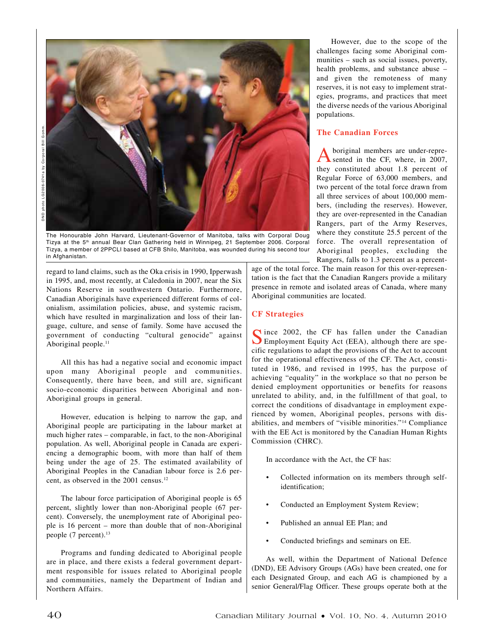DND photo LG2006-0741a by Cor poral Bill Gomm. ohoto LG2006-0741a by Corporal Bill OND



The Honourable John Harvard, Lieutenant-Governor of Manitoba, talks with Corporal Doug Tizya at the 5<sup>th</sup> annual Bear Clan Gathering held in Winnipeg, 21 September 2006. Corporal Tizya, a member of 2PPCLI based at CFB Shilo, Manitoba, was wounded during his second tour in Afghanistan.

regard to land claims, such as the Oka crisis in 1990, Ipperwash in 1995, and, most recently, at Caledonia in 2007, near the Six Nations Reserve in southwestern Ontario. Furthermore, Canadian Aboriginals have experienced different forms of colonialism, assimilation policies, abuse, and systemic racism, which have resulted in marginalization and loss of their language, culture, and sense of family. Some have accused the government of conducting "cultural genocide" against Aboriginal people. $11$ 

All this has had a negative social and economic impact upon many Aboriginal people and communities. Consequently, there have been, and still are, significant socio-economic disparities between Aboriginal and non-Aboriginal groups in general.

However, education is helping to narrow the gap, and Aboriginal people are participating in the labour market at much higher rates – comparable, in fact, to the non-Aboriginal population. As well, Aboriginal people in Canada are experiencing a demographic boom, with more than half of them being under the age of 25. The estimated availability of Aboriginal Peoples in the Canadian labour force is 2.6 percent, as observed in the 2001 census.12

The labour force participation of Aboriginal people is 65 percent, slightly lower than non-Aboriginal people (67 percent). Conversely, the unemployment rate of Aboriginal people is 16 percent – more than double that of non-Aboriginal people  $(7$  percent).<sup>13</sup>

Programs and funding dedicated to Aboriginal people are in place, and there exists a federal government department responsible for issues related to Aboriginal people and communities, namely the Department of Indian and Northern Affairs.

However, due to the scope of the challenges facing some Aboriginal communities – such as social issues, poverty, health problems, and substance abuse – and given the remoteness of many reserves, it is not easy to implement strategies, programs, and practices that meet the diverse needs of the various Aboriginal populations.

# **The Canadian Forces**

boriginal members are under-represented in the CF, where, in 2007, they constituted about 1.8 percent of Regular Force of 63,000 members, and two percent of the total force drawn from all three services of about 100,000 members, (including the reserves). However, they are over-represented in the Canadian Rangers, part of the Army Reserves, where they constitute 25.5 percent of the force. The overall representation of Aboriginal peoples, excluding the Rangers, falls to 1.3 percent as a percent-

age of the total force. The main reason for this over-representation is the fact that the Canadian Rangers provide a military presence in remote and isolated areas of Canada, where many Aboriginal communities are located.

## **CF Strategies**

Since 2002, the CF has fallen under the Canadian Employment Equity Act (EEA), although there are specific regulations to adapt the provisions of the Act to account for the operational effectiveness of the CF. The Act, constituted in 1986, and revised in 1995, has the purpose of achieving "equality" in the workplace so that no person be denied employment opportunities or benefits for reasons unrelated to ability, and, in the fulfillment of that goal, to correct the conditions of disadvantage in employment experienced by women, Aboriginal peoples, persons with disabilities, and members of "visible minorities."14 Compliance with the EE Act is monitored by the Canadian Human Rights Commission (CHRC).

In accordance with the Act, the CF has:

- Collected information on its members through selfidentification;
- Conducted an Employment System Review;
- Published an annual EE Plan; and
- Conducted briefings and seminars on EE.

As well, within the Department of National Defence (DND), EE Advisory Groups (AGs) have been created, one for each Designated Group, and each AG is championed by a senior General/Flag Officer. These groups operate both at the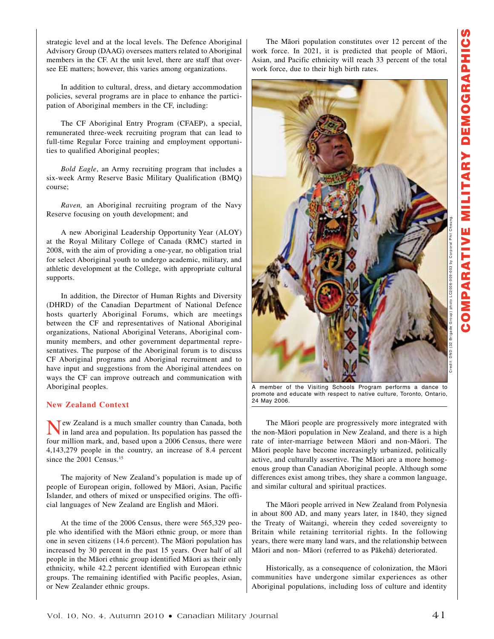strategic level and at the local levels. The Defence Aboriginal Advisory Group (DAAG) oversees matters related to Aboriginal members in the CF. At the unit level, there are staff that oversee EE matters; however, this varies among organizations.

In addition to cultural, dress, and dietary accommodation policies, several programs are in place to enhance the participation of Aboriginal members in the CF, including:

The CF Aboriginal Entry Program (CFAEP), a special, remunerated three-week recruiting program that can lead to full-time Regular Force training and employment opportunities to qualified Aboriginal peoples;

*Bold Eagle*, an Army recruiting program that includes a six-week Army Reserve Basic Military Qualification (BMQ) course;

*Raven,* an Aboriginal recruiting program of the Navy Reserve focusing on youth development; and

A new Aboriginal Leadership Opportunity Year (ALOY) at the Royal Military College of Canada (RMC) started in 2008, with the aim of providing a one-year, no obligation trial for select Aboriginal youth to undergo academic, military, and athletic development at the College, with appropriate cultural supports.

In addition, the Director of Human Rights and Diversity (DHRD) of the Canadian Department of National Defence hosts quarterly Aboriginal Forums, which are meetings between the CF and representatives of National Aboriginal organizations, National Aboriginal Veterans, Aboriginal community members, and other government departmental representatives. The purpose of the Aboriginal forum is to discuss CF Aboriginal programs and Aboriginal recruitment and to have input and suggestions from the Aboriginal attendees on ways the CF can improve outreach and communication with Aboriginal peoples.

## **New Zealand Context**

Tew Zealand is a much smaller country than Canada, both in land area and population. Its population has passed the four million mark, and, based upon a 2006 Census, there were 4,143,279 people in the country, an increase of 8.4 percent since the 2001 Census.<sup>15</sup>

The majority of New Zealand's population is made up of people of European origin, followed by Māori, Asian, Pacific Islander, and others of mixed or unspecified origins. The official languages of New Zealand are English and Māori.

At the time of the 2006 Census, there were 565,329 people who identified with the Māori ethnic group, or more than one in seven citizens (14.6 percent). The Māori population has increased by 30 percent in the past 15 years. Over half of all people in the Māori ethnic group identified Māori as their only ethnicity, while 42.2 percent identified with European ethnic groups. The remaining identified with Pacific peoples, Asian, or New Zealander ethnic groups.

The Māori population constitutes over 12 percent of the work force. In 2021, it is predicted that people of Māori, Asian, and Pacific ethnicity will reach 33 percent of the total work force, due to their high birth rates.



A member of the Visiting Schools Program performs a dance to promote and educate with respect to native culture, Toronto, Ontario, 24 May 2006.

The Māori people are progressively more integrated with the non-Māori population in New Zealand, and there is a high rate of inter-marriage between Māori and non-Māori. The Māori people have become increasingly urbanized, politically active, and culturally assertive. The Māori are a more homogenous group than Canadian Aboriginal people. Although some differences exist among tribes, they share a common language, and similar cultural and spiritual practices.

The Māori people arrived in New Zealand from Polynesia in about 800 AD, and many years later, in 1840, they signed the Treaty of Waitangi, wherein they ceded sovereignty to Britain while retaining territorial rights. In the following years, there were many land wars, and the relationship between Māori and non- Māori (referred to as Pākehā) deteriorated.

Historically, as a consequence of colonization, the Māori communities have undergone similar experiences as other Aboriginal populations, including loss of culture and identity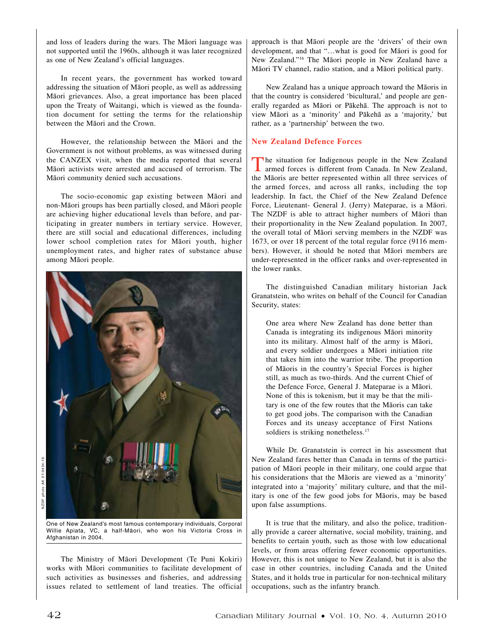and loss of leaders during the wars. The Māori language was not supported until the 1960s, although it was later recognized as one of New Zealand's official languages.

In recent years, the government has worked toward addressing the situation of Māori people, as well as addressing Māori grievances. Also, a great importance has been placed upon the Treaty of Waitangi, which is viewed as the foundation document for setting the terms for the relationship between the Māori and the Crown.

However, the relationship between the Māori and the Government is not without problems, as was witnessed during the CANZEX visit, when the media reported that several Māori activists were arrested and accused of terrorism. The Māori community denied such accusations.

The socio-economic gap existing between Māori and non-Māori groups has been partially closed, and Māori people are achieving higher educational levels than before, and participating in greater numbers in tertiary service. However, there are still social and educational differences, including lower school completion rates for Māori youth, higher unemployment rates, and higher rates of substance abuse among Māori people.



One of New Zealand's most famous contemporary individuals, Corporal Willie Apiata, VC, a half-Māori, who won his Victoria Cross in Afghanistan in 2004.

The Ministry of Māori Development (Te Puni Kokiri) works with Māori communities to facilitate development of such activities as businesses and fisheries, and addressing issues related to settlement of land treaties. The official approach is that Māori people are the 'drivers' of their own development, and that "…what is good for Māori is good for New Zealand."16 The Māori people in New Zealand have a Māori TV channel, radio station, and a Māori political party.

New Zealand has a unique approach toward the Māoris in that the country is considered 'bicultural,' and people are generally regarded as Māori or Pākehā. The approach is not to view Māori as a 'minority' and Pākehā as a 'majority,' but rather, as a 'partnership' between the two.

# **New Zealand Defence Forces**

The situation for Indigenous people in the New Zealand armed forces is different from Canada. In New Zealand, the Māoris are better represented within all three services of the armed forces, and across all ranks, including the top leadership. In fact, the Chief of the New Zealand Defence Force, Lieutenant- General J. (Jerry) Mateparae, is a Māori. The NZDF is able to attract higher numbers of Māori than their proportionality in the New Zealand population. In 2007, the overall total of Māori serving members in the NZDF was 1673, or over 18 percent of the total regular force (9116 members). However, it should be noted that Māori members are under-represented in the officer ranks and over-represented in the lower ranks.

The distinguished Canadian military historian Jack Granatstein, who writes on behalf of the Council for Canadian Security, states:

One area where New Zealand has done better than Canada is integrating its indigenous Māori minority into its military. Almost half of the army is Māori, and every soldier undergoes a Māori initiation rite that takes him into the warrior tribe. The proportion of Māoris in the country's Special Forces is higher still, as much as two-thirds. And the current Chief of the Defence Force, General J. Mateparae is a Māori. None of this is tokenism, but it may be that the military is one of the few routes that the Māoris can take to get good jobs. The comparison with the Canadian Forces and its uneasy acceptance of First Nations soldiers is striking nonetheless.<sup>17</sup>

While Dr. Granatstein is correct in his assessment that New Zealand fares better than Canada in terms of the participation of Māori people in their military, one could argue that his considerations that the Māoris are viewed as a 'minority' integrated into a 'majority' military culture, and that the military is one of the few good jobs for Māoris, may be based upon false assumptions.

It is true that the military, and also the police, traditionally provide a career alternative, social mobility, training, and benefits to certain youth, such as those with low educational levels, or from areas offering fewer economic opportunities. However, this is not unique to New Zealand, but it is also the case in other countries, including Canada and the United States, and it holds true in particular for non-technical military occupations, such as the infantry branch.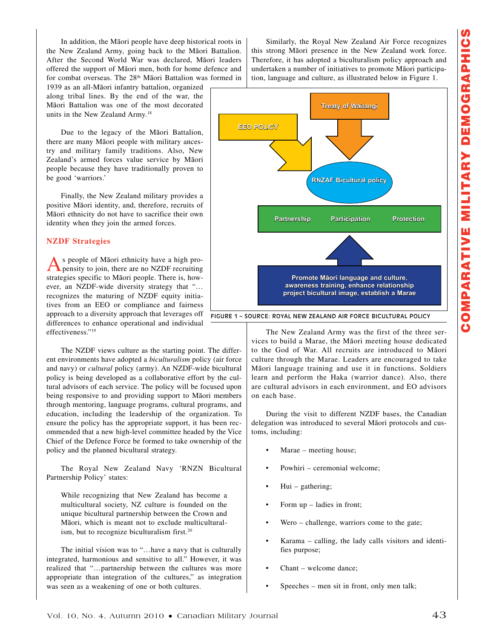In addition, the Māori people have deep historical roots in the New Zealand Army, going back to the Māori Battalion. After the Second World War was declared, Māori leaders offered the support of Māori men, both for home defence and for combat overseas. The 28<sup>th</sup> Māori Battalion was formed in

1939 as an all-Māori infantry battalion, organized along tribal lines. By the end of the war, the Māori Battalion was one of the most decorated units in the New Zealand Army.18

Due to the legacy of the Māori Battalion, there are many Māori people with military ancestry and military family traditions. Also, New Zealand's armed forces value service by Māori people because they have traditionally proven to be good 'warriors.'

Finally, the New Zealand military provides a positive Māori identity, and, therefore, recruits of Māori ethnicity do not have to sacrifice their own identity when they join the armed forces.

#### **NZDF Strategies**

As people of Māori ethnicity have a high pro-pensity to join, there are no NZDF recruiting strategies specific to Māori people. There is, however, an NZDF-wide diversity strategy that "… recognizes the maturing of NZDF equity initiatives from an EEO or compliance and fairness approach to a diversity approach that leverages off differences to enhance operational and individual effectiveness."19

The NZDF views culture as the starting point. The different environments have adopted a *biculturalism* policy (air force and navy) or *cultural* policy (army). An NZDF-wide bicultural policy is being developed as a collaborative effort by the cultural advisors of each service. The policy will be focused upon being responsive to and providing support to Māori members through mentoring, language programs, cultural programs, and education, including the leadership of the organization. To ensure the policy has the appropriate support, it has been recommended that a new high-level committee headed by the Vice Chief of the Defence Force be formed to take ownership of the policy and the planned bicultural strategy.

The Royal New Zealand Navy 'RNZN Bicultural Partnership Policy' states:

While recognizing that New Zealand has become a multicultural society, NZ culture is founded on the unique bicultural partnership between the Crown and Māori, which is meant not to exclude multiculturalism, but to recognize biculturalism first.<sup>20</sup>

The initial vision was to "…have a navy that is culturally integrated, harmonious and sensitive to all." However, it was realized that "…partnership between the cultures was more appropriate than integration of the cultures," as integration was seen as a weakening of one or both cultures.

Similarly, the Royal New Zealand Air Force recognizes this strong Māori presence in the New Zealand work force. Therefore, it has adopted a biculturalism policy approach and undertaken a number of initiatives to promote Māori participation, language and culture, as illustrated below in Figure 1.



Figure 1 – Source: Royal New Zealand Air Force Bicultural Policy

The New Zealand Army was the first of the three services to build a Marae, the Māori meeting house dedicated to the God of War. All recruits are introduced to Māori culture through the Marae. Leaders are encouraged to take Māori language training and use it in functions. Soldiers learn and perform the Haka (warrior dance). Also, there are cultural advisors in each environment, and EO advisors on each base.

During the visit to different NZDF bases, the Canadian delegation was introduced to several Māori protocols and customs, including:

- Marae meeting house;
- Powhiri ceremonial welcome;
- Hui gathering;
- Form  $up$  ladies in front;
- Wero challenge, warriors come to the gate;
- Karama calling, the lady calls visitors and identifies purpose;
- Chant welcome dance;
- Speeches men sit in front, only men talk;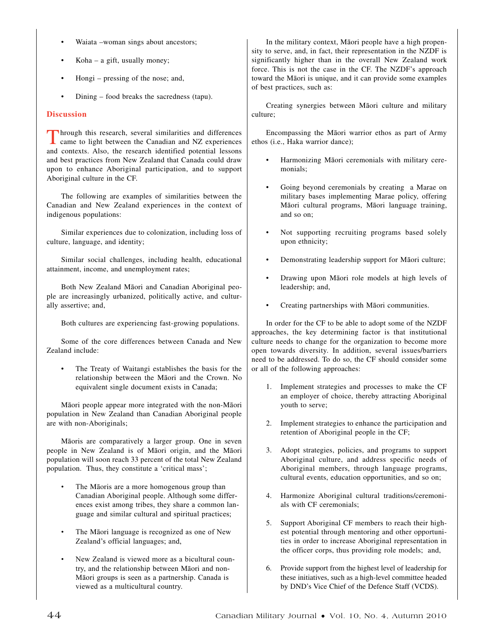- Waiata –woman sings about ancestors;
- $Koha a$  gift, usually money;
- Hongi pressing of the nose; and,
- Dining food breaks the sacredness (tapu).

# **Discussion**

Through this research, several similarities and differences<br>came to light between the Canadian and NZ experiences and contexts. Also, the research identified potential lessons and best practices from New Zealand that Canada could draw upon to enhance Aboriginal participation, and to support Aboriginal culture in the CF.

The following are examples of similarities between the Canadian and New Zealand experiences in the context of indigenous populations:

Similar experiences due to colonization, including loss of culture, language, and identity;

Similar social challenges, including health, educational attainment, income, and unemployment rates;

Both New Zealand Māori and Canadian Aboriginal people are increasingly urbanized, politically active, and culturally assertive; and,

Both cultures are experiencing fast-growing populations.

Some of the core differences between Canada and New Zealand include:

The Treaty of Waitangi establishes the basis for the relationship between the Māori and the Crown. No equivalent single document exists in Canada;

Māori people appear more integrated with the non-Māori population in New Zealand than Canadian Aboriginal people are with non-Aboriginals;

Māoris are comparatively a larger group. One in seven people in New Zealand is of Māori origin, and the Māori population will soon reach 33 percent of the total New Zealand population. Thus, they constitute a 'critical mass';

- The Māoris are a more homogenous group than Canadian Aboriginal people. Although some differences exist among tribes, they share a common language and similar cultural and spiritual practices;
- The Māori language is recognized as one of New Zealand's official languages; and,
- New Zealand is viewed more as a bicultural country, and the relationship between Māori and non-Māori groups is seen as a partnership. Canada is viewed as a multicultural country.

In the military context, Māori people have a high propensity to serve, and, in fact, their representation in the NZDF is significantly higher than in the overall New Zealand work force. This is not the case in the CF. The NZDF's approach toward the Māori is unique, and it can provide some examples of best practices, such as:

Creating synergies between Māori culture and military culture;

Encompassing the Māori warrior ethos as part of Army ethos (i.e., Haka warrior dance);

- Harmonizing Māori ceremonials with military ceremonials;
- Going beyond ceremonials by creating a Marae on military bases implementing Marae policy, offering Māori cultural programs, Māori language training, and so on;
- Not supporting recruiting programs based solely upon ethnicity;
- Demonstrating leadership support for Māori culture;
- Drawing upon Māori role models at high levels of leadership; and,
- Creating partnerships with Māori communities.

In order for the CF to be able to adopt some of the NZDF approaches, the key determining factor is that institutional culture needs to change for the organization to become more open towards diversity. In addition, several issues/barriers need to be addressed. To do so, the CF should consider some or all of the following approaches:

- 1. Implement strategies and processes to make the CF an employer of choice, thereby attracting Aboriginal youth to serve;
- 2. Implement strategies to enhance the participation and retention of Aboriginal people in the CF;
- 3. Adopt strategies, policies, and programs to support Aboriginal culture, and address specific needs of Aboriginal members, through language programs, cultural events, education opportunities, and so on;
- 4. Harmonize Aboriginal cultural traditions/ceremonials with CF ceremonials;
- 5. Support Aboriginal CF members to reach their highest potential through mentoring and other opportunities in order to increase Aboriginal representation in the officer corps, thus providing role models; and,
- 6. Provide support from the highest level of leadership for these initiatives, such as a high-level committee headed by DND's Vice Chief of the Defence Staff (VCDS).